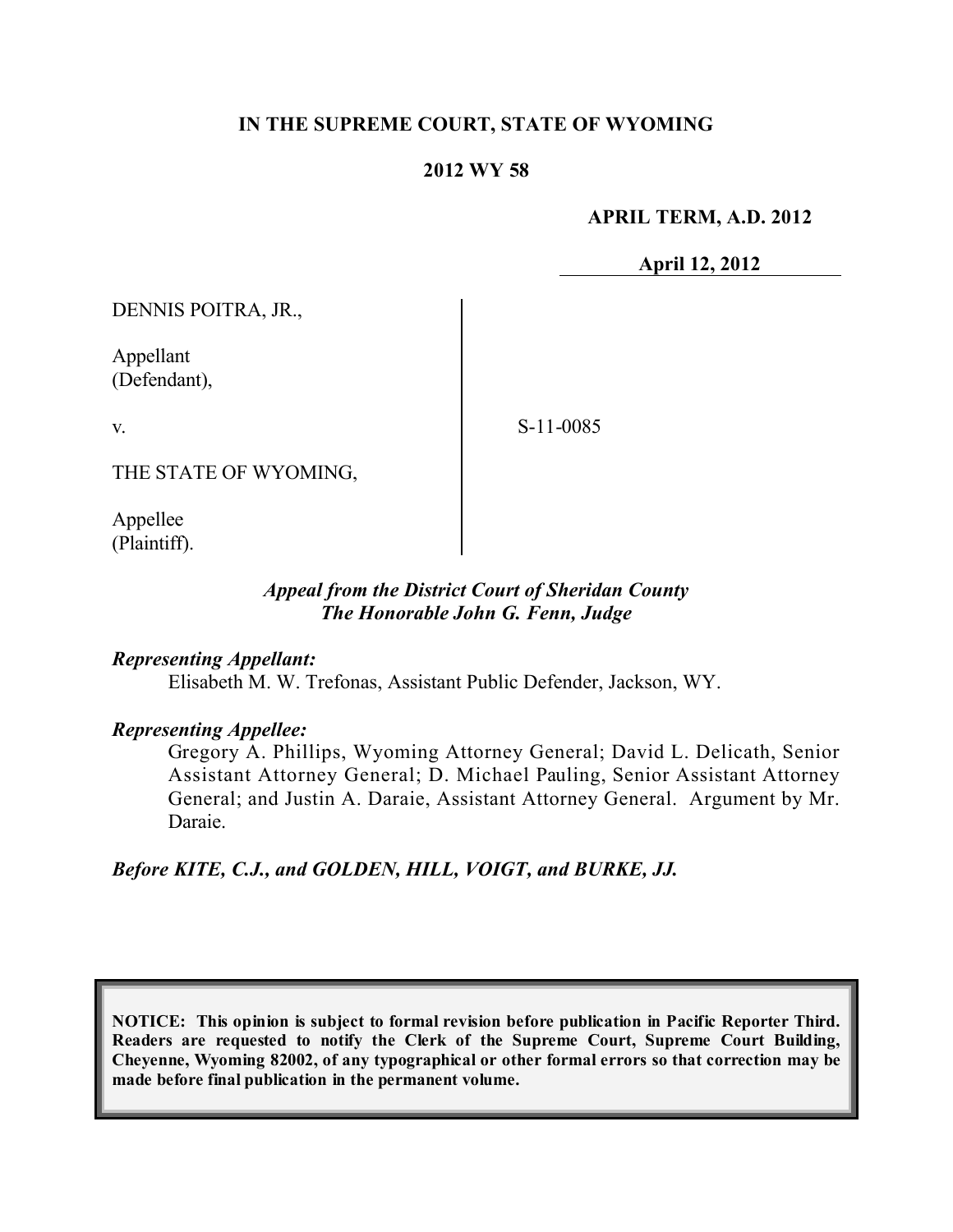### **IN THE SUPREME COURT, STATE OF WYOMING**

#### **2012 WY 58**

**APRIL TERM, A.D. 2012**

**April 12, 2012**

DENNIS POITRA, JR.,

Appellant (Defendant),

v.

S-11-0085

THE STATE OF WYOMING,

Appellee (Plaintiff).

### *Appeal from the District Court of Sheridan County The Honorable John G. Fenn, Judge*

*Representing Appellant:*

Elisabeth M. W. Trefonas, Assistant Public Defender, Jackson, WY.

#### *Representing Appellee:*

Gregory A. Phillips, Wyoming Attorney General; David L. Delicath, Senior Assistant Attorney General; D. Michael Pauling, Senior Assistant Attorney General; and Justin A. Daraie, Assistant Attorney General. Argument by Mr. Daraie.

*Before KITE, C.J., and GOLDEN, HILL, VOIGT, and BURKE, JJ.*

**NOTICE: This opinion is subject to formal revision before publication in Pacific Reporter Third. Readers are requested to notify the Clerk of the Supreme Court, Supreme Court Building, Cheyenne, Wyoming 82002, of any typographical or other formal errors so that correction may be made before final publication in the permanent volume.**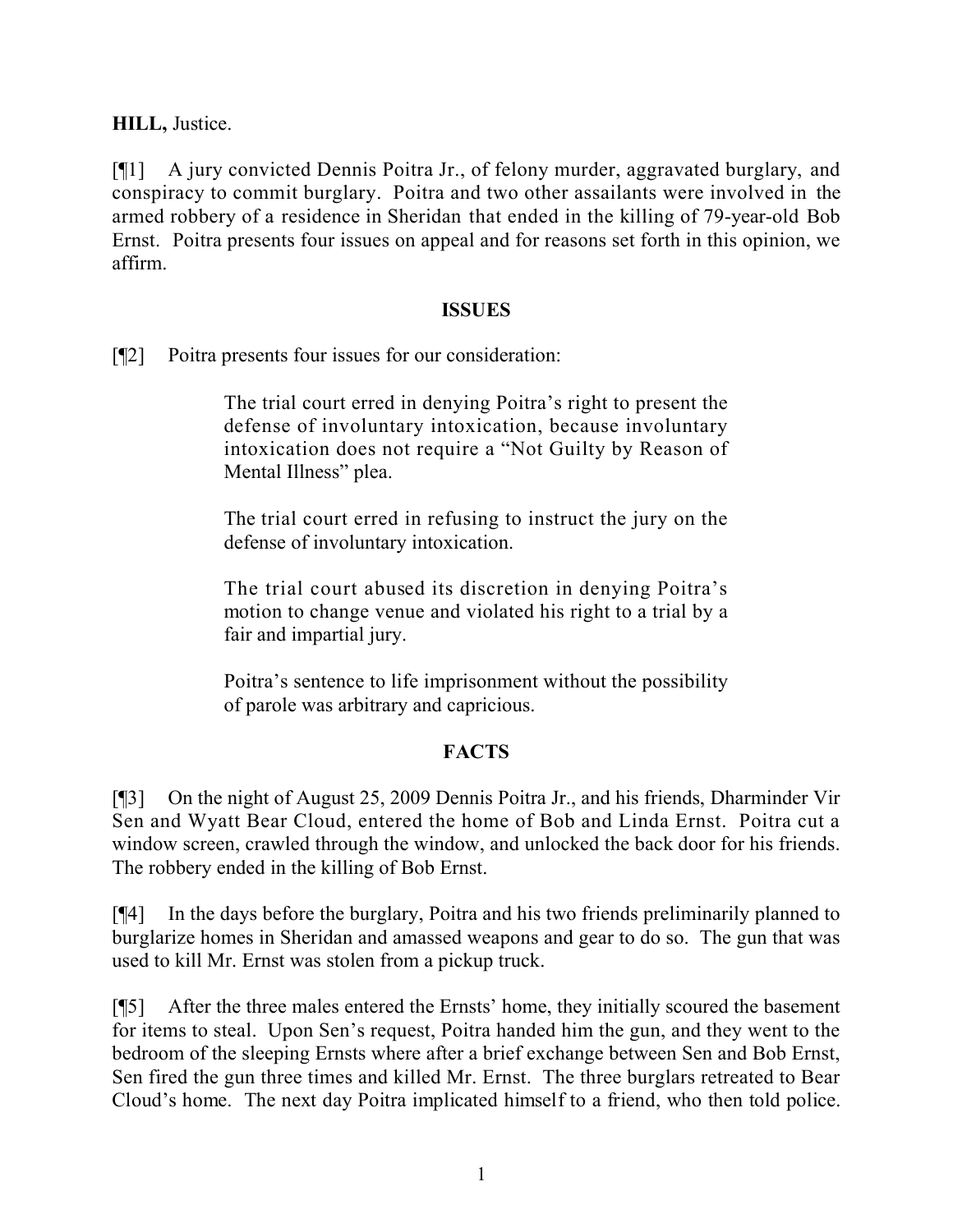**HILL,** Justice.

[¶1] A jury convicted Dennis Poitra Jr., of felony murder, aggravated burglary, and conspiracy to commit burglary. Poitra and two other assailants were involved in the armed robbery of a residence in Sheridan that ended in the killing of 79-year-old Bob Ernst. Poitra presents four issues on appeal and for reasons set forth in this opinion, we affirm.

#### **ISSUES**

[¶2] Poitra presents four issues for our consideration:

The trial court erred in denying Poitra's right to present the defense of involuntary intoxication, because involuntary intoxication does not require a "Not Guilty by Reason of Mental Illness" plea.

The trial court erred in refusing to instruct the jury on the defense of involuntary intoxication.

The trial court abused its discretion in denying Poitra's motion to change venue and violated his right to a trial by a fair and impartial jury.

Poitra's sentence to life imprisonment without the possibility of parole was arbitrary and capricious.

# **FACTS**

[¶3] On the night of August 25, 2009 Dennis Poitra Jr., and his friends, Dharminder Vir Sen and Wyatt Bear Cloud, entered the home of Bob and Linda Ernst. Poitra cut a window screen, crawled through the window, and unlocked the back door for his friends. The robbery ended in the killing of Bob Ernst.

[¶4] In the days before the burglary, Poitra and his two friends preliminarily planned to burglarize homes in Sheridan and amassed weapons and gear to do so. The gun that was used to kill Mr. Ernst was stolen from a pickup truck.

[¶5] After the three males entered the Ernsts' home, they initially scoured the basement for items to steal. Upon Sen's request, Poitra handed him the gun, and they went to the bedroom of the sleeping Ernsts where after a brief exchange between Sen and Bob Ernst, Sen fired the gun three times and killed Mr. Ernst. The three burglars retreated to Bear Cloud's home. The next day Poitra implicated himself to a friend, who then told police.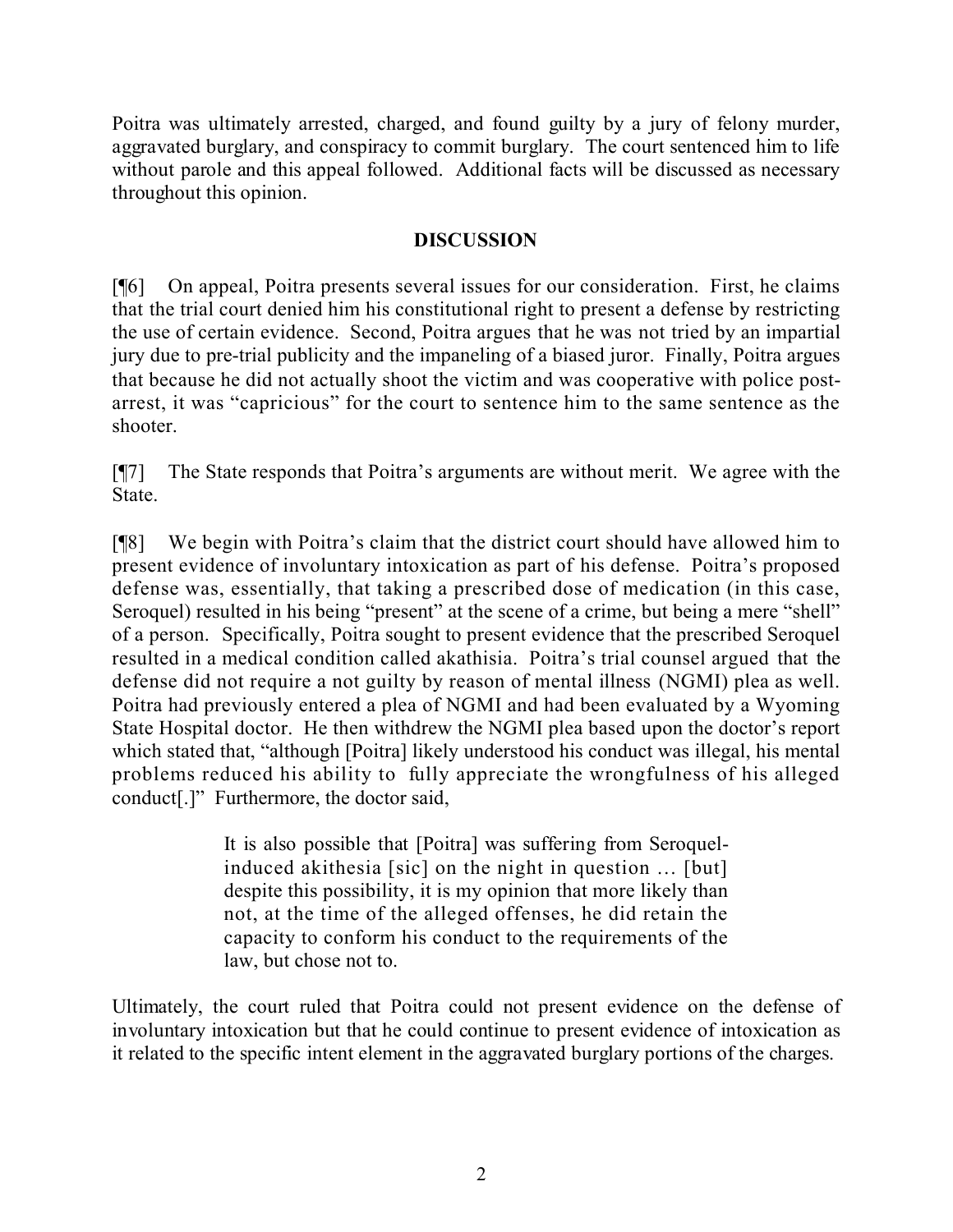Poitra was ultimately arrested, charged, and found guilty by a jury of felony murder, aggravated burglary, and conspiracy to commit burglary. The court sentenced him to life without parole and this appeal followed. Additional facts will be discussed as necessary throughout this opinion.

## **DISCUSSION**

[¶6] On appeal, Poitra presents several issues for our consideration. First, he claims that the trial court denied him his constitutional right to present a defense by restricting the use of certain evidence. Second, Poitra argues that he was not tried by an impartial jury due to pre-trial publicity and the impaneling of a biased juror. Finally, Poitra argues that because he did not actually shoot the victim and was cooperative with police postarrest, it was "capricious" for the court to sentence him to the same sentence as the shooter.

[¶7] The State responds that Poitra's arguments are without merit. We agree with the State.

[¶8] We begin with Poitra's claim that the district court should have allowed him to present evidence of involuntary intoxication as part of his defense. Poitra's proposed defense was, essentially, that taking a prescribed dose of medication (in this case, Seroquel) resulted in his being "present" at the scene of a crime, but being a mere "shell" of a person. Specifically, Poitra sought to present evidence that the prescribed Seroquel resulted in a medical condition called akathisia. Poitra's trial counsel argued that the defense did not require a not guilty by reason of mental illness (NGMI) plea as well. Poitra had previously entered a plea of NGMI and had been evaluated by a Wyoming State Hospital doctor. He then withdrew the NGMI plea based upon the doctor's report which stated that, "although [Poitra] likely understood his conduct was illegal, his mental problems reduced his ability to fully appreciate the wrongfulness of his alleged conduct[.]" Furthermore, the doctor said,

> It is also possible that [Poitra] was suffering from Seroquelinduced akithesia [sic] on the night in question … [but] despite this possibility, it is my opinion that more likely than not, at the time of the alleged offenses, he did retain the capacity to conform his conduct to the requirements of the law, but chose not to.

Ultimately, the court ruled that Poitra could not present evidence on the defense of involuntary intoxication but that he could continue to present evidence of intoxication as it related to the specific intent element in the aggravated burglary portions of the charges.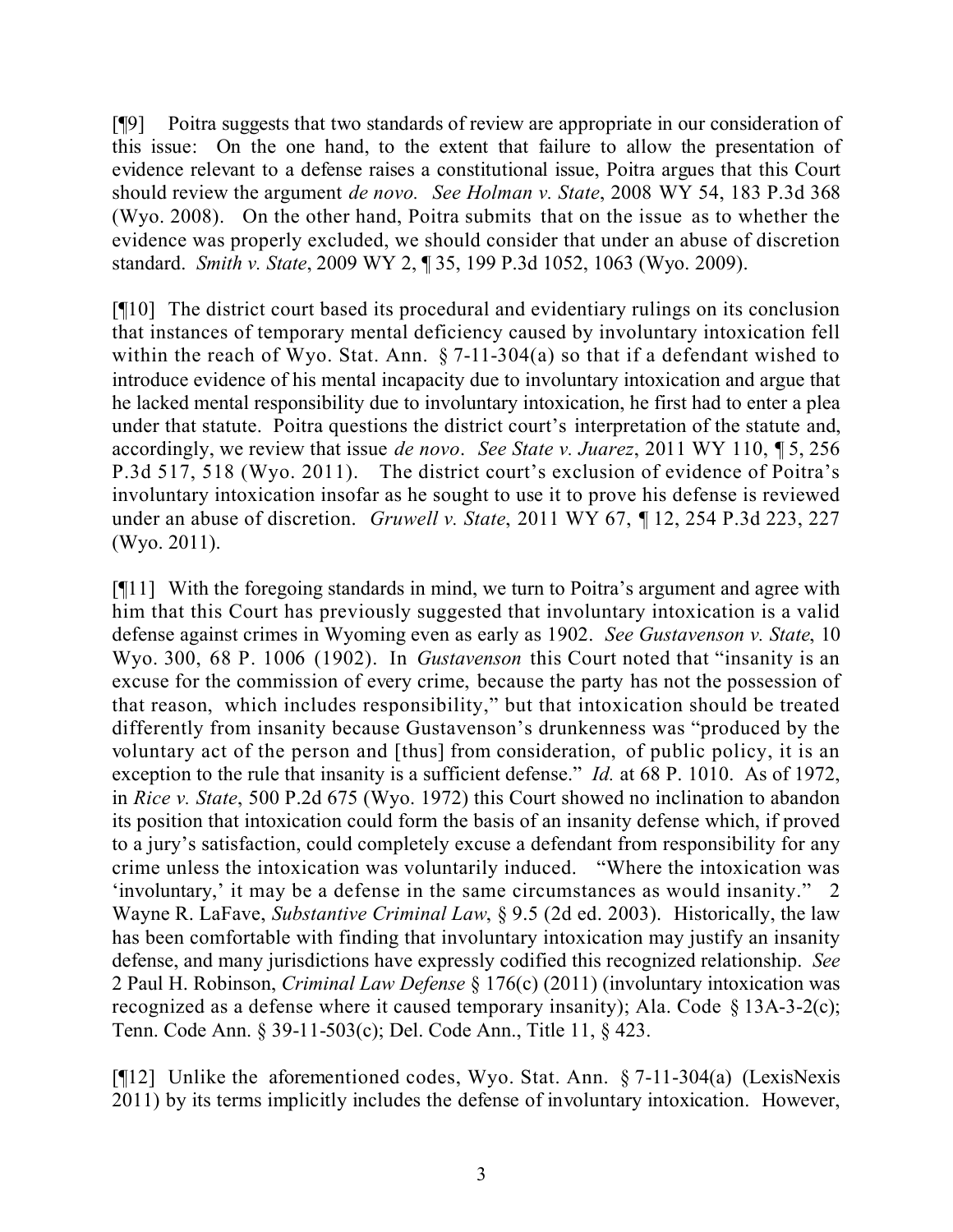[¶9] Poitra suggests that two standards of review are appropriate in our consideration of this issue: On the one hand, to the extent that failure to allow the presentation of evidence relevant to a defense raises a constitutional issue, Poitra argues that this Court should review the argument *de novo. See Holman v. State*, 2008 WY 54, 183 P.3d 368 (Wyo. 2008). On the other hand, Poitra submits that on the issue as to whether the evidence was properly excluded, we should consider that under an abuse of discretion standard. *Smith v. State*, 2009 WY 2, ¶ 35, 199 P.3d 1052, 1063 (Wyo. 2009).

[¶10] The district court based its procedural and evidentiary rulings on its conclusion that instances of temporary mental deficiency caused by involuntary intoxication fell within the reach of Wyo. Stat. Ann.  $\S 7$ -11-304(a) so that if a defendant wished to introduce evidence of his mental incapacity due to involuntary intoxication and argue that he lacked mental responsibility due to involuntary intoxication, he first had to enter a plea under that statute. Poitra questions the district court's interpretation of the statute and, accordingly, we review that issue *de novo*. *See State v. Juarez*, 2011 WY 110, ¶ 5, 256 P.3d 517, 518 (Wyo. 2011). The district court's exclusion of evidence of Poitra's involuntary intoxication insofar as he sought to use it to prove his defense is reviewed under an abuse of discretion. *Gruwell v. State*, 2011 WY 67, ¶ 12, 254 P.3d 223, 227 (Wyo. 2011).

[¶11] With the foregoing standards in mind, we turn to Poitra's argument and agree with him that this Court has previously suggested that involuntary intoxication is a valid defense against crimes in Wyoming even as early as 1902. *See Gustavenson v. State*, 10 Wyo. 300, 68 P. 1006 (1902). In *Gustavenson* this Court noted that "insanity is an excuse for the commission of every crime, because the party has not the possession of that reason, which includes responsibility," but that intoxication should be treated differently from insanity because Gustavenson's drunkenness was "produced by the voluntary act of the person and [thus] from consideration, of public policy, it is an exception to the rule that insanity is a sufficient defense." *Id.* at 68 P. 1010.As of 1972, in *Rice v. State*, 500 P.2d 675 (Wyo. 1972) this Court showed no inclination to abandon its position that intoxication could form the basis of an insanity defense which, if proved to a jury's satisfaction, could completely excuse a defendant from responsibility for any crime unless the intoxication was voluntarily induced. "Where the intoxication was 'involuntary,' it may be a defense in the same circumstances as would insanity." 2 Wayne R. LaFave, *Substantive Criminal Law*, § 9.5 (2d ed. 2003). Historically, the law has been comfortable with finding that involuntary intoxication may justify an insanity defense, and many jurisdictions have expressly codified this recognized relationship. *See*  2 Paul H. Robinson, *Criminal Law Defense* § 176(c) (2011) (involuntary intoxication was recognized as a defense where it caused temporary insanity); Ala. Code § 13A-3-2(c); Tenn. Code Ann. § 39-11-503(c); Del. Code Ann., Title 11, § 423.

[¶12] Unlike the aforementioned codes, Wyo. Stat. Ann. § 7-11-304(a) (LexisNexis 2011) by its terms implicitly includes the defense of involuntary intoxication. However,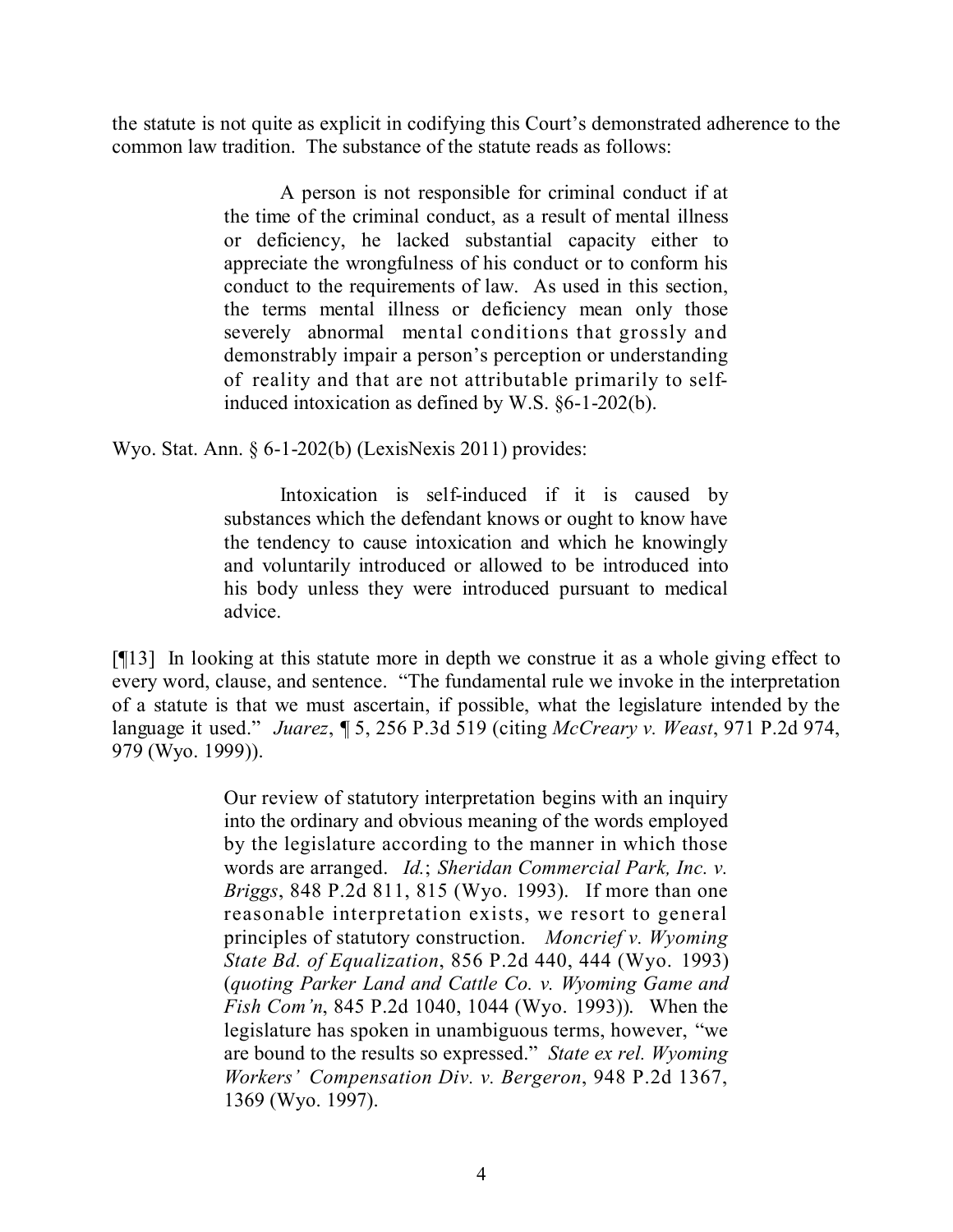the statute is not quite as explicit in codifying this Court's demonstrated adherence to the common law tradition. The substance of the statute reads as follows:

> A person is not responsible for criminal conduct if at the time of the criminal conduct, as a result of mental illness or deficiency, he lacked substantial capacity either to appreciate the wrongfulness of his conduct or to conform his conduct to the requirements of law. As used in this section, the terms mental illness or deficiency mean only those severely abnormal mental conditions that grossly and demonstrably impair a person's perception or understanding of reality and that are not attributable primarily to selfinduced intoxication as defined by W.S. §6-1-202(b).

Wyo. Stat. Ann. § 6-1-202(b) (LexisNexis 2011) provides:

Intoxication is self-induced if it is caused by substances which the defendant knows or ought to know have the tendency to cause intoxication and which he knowingly and voluntarily introduced or allowed to be introduced into his body unless they were introduced pursuant to medical advice.

[¶13] In looking at this statute more in depth we construe it as a whole giving effect to every word, clause, and sentence. "The fundamental rule we invoke in the interpretation of a statute is that we must ascertain, if possible, what the legislature intended by the language it used." *Juarez*, ¶ 5, 256 P.3d 519 (citing *McCreary v. Weast*, 971 P.2d 974, 979 (Wyo. 1999)).

> Our review of statutory interpretation begins with an inquiry into the ordinary and obvious meaning of the words employed by the legislature according to the manner in which those words are arranged. *Id.*; *Sheridan Commercial Park, Inc. v. Briggs*, 848 P.2d 811, 815 (Wyo. 1993). If more than one reasonable interpretation exists, we resort to general principles of statutory construction. *Moncrief v. Wyoming State Bd. of Equalization*, 856 P.2d 440, 444 (Wyo. 1993) (*quoting Parker Land and Cattle Co. v. Wyoming Game and Fish Com'n*, 845 P.2d 1040, 1044 (Wyo. 1993)). When the legislature has spoken in unambiguous terms, however, "we are bound to the results so expressed." *State ex rel. Wyoming Workers' Compensation Div. v. Bergeron*, 948 P.2d 1367, 1369 (Wyo. 1997).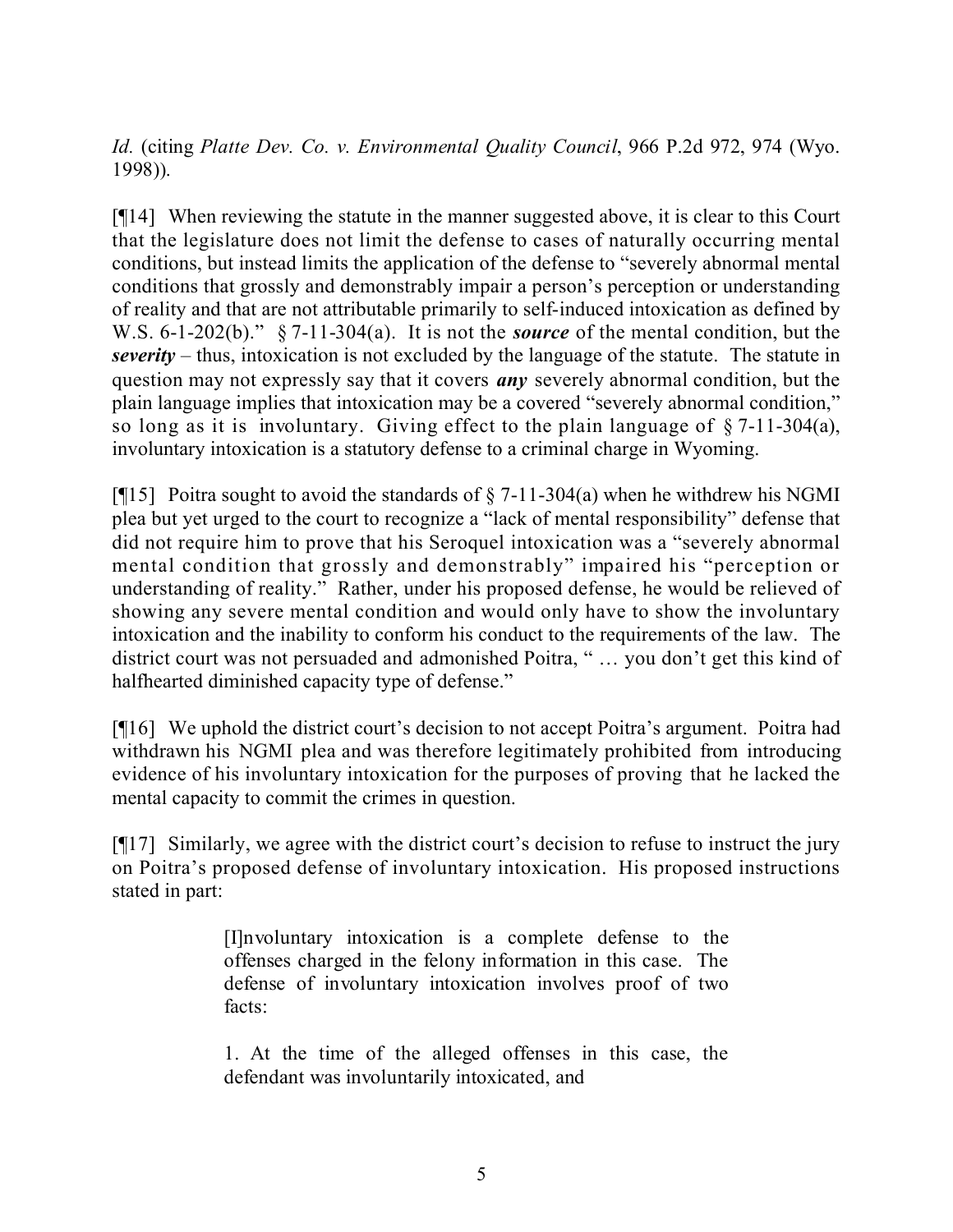*Id.* (citing *Platte Dev. Co. v. Environmental Quality Council*, 966 P.2d 972, 974 (Wyo. 1998)).

[¶14] When reviewing the statute in the manner suggested above, it is clear to this Court that the legislature does not limit the defense to cases of naturally occurring mental conditions, but instead limits the application of the defense to "severely abnormal mental conditions that grossly and demonstrably impair a person's perception or understanding of reality and that are not attributable primarily to self-induced intoxication as defined by W.S. 6-1-202(b)." § 7-11-304(a). It is not the *source* of the mental condition, but the *severity* – thus, intoxication is not excluded by the language of the statute. The statute in question may not expressly say that it covers *any* severely abnormal condition, but the plain language implies that intoxication may be a covered "severely abnormal condition," so long as it is involuntary. Giving effect to the plain language of § 7-11-304(a), involuntary intoxication is a statutory defense to a criminal charge in Wyoming.

[ $[15]$ ] Poitra sought to avoid the standards of  $\S$  7-11-304(a) when he withdrew his NGMI plea but yet urged to the court to recognize a "lack of mental responsibility" defense that did not require him to prove that his Seroquel intoxication was a "severely abnormal mental condition that grossly and demonstrably" impaired his "perception or understanding of reality." Rather, under his proposed defense, he would be relieved of showing any severe mental condition and would only have to show the involuntary intoxication and the inability to conform his conduct to the requirements of the law. The district court was not persuaded and admonished Poitra, " … you don't get this kind of halfhearted diminished capacity type of defense."

[¶16] We uphold the district court's decision to not accept Poitra's argument. Poitra had withdrawn his NGMI plea and was therefore legitimately prohibited from introducing evidence of his involuntary intoxication for the purposes of proving that he lacked the mental capacity to commit the crimes in question.

[¶17] Similarly, we agree with the district court's decision to refuse to instruct the jury on Poitra's proposed defense of involuntary intoxication. His proposed instructions stated in part:

> [I]nvoluntary intoxication is a complete defense to the offenses charged in the felony information in this case. The defense of involuntary intoxication involves proof of two facts:

> 1. At the time of the alleged offenses in this case, the defendant was involuntarily intoxicated, and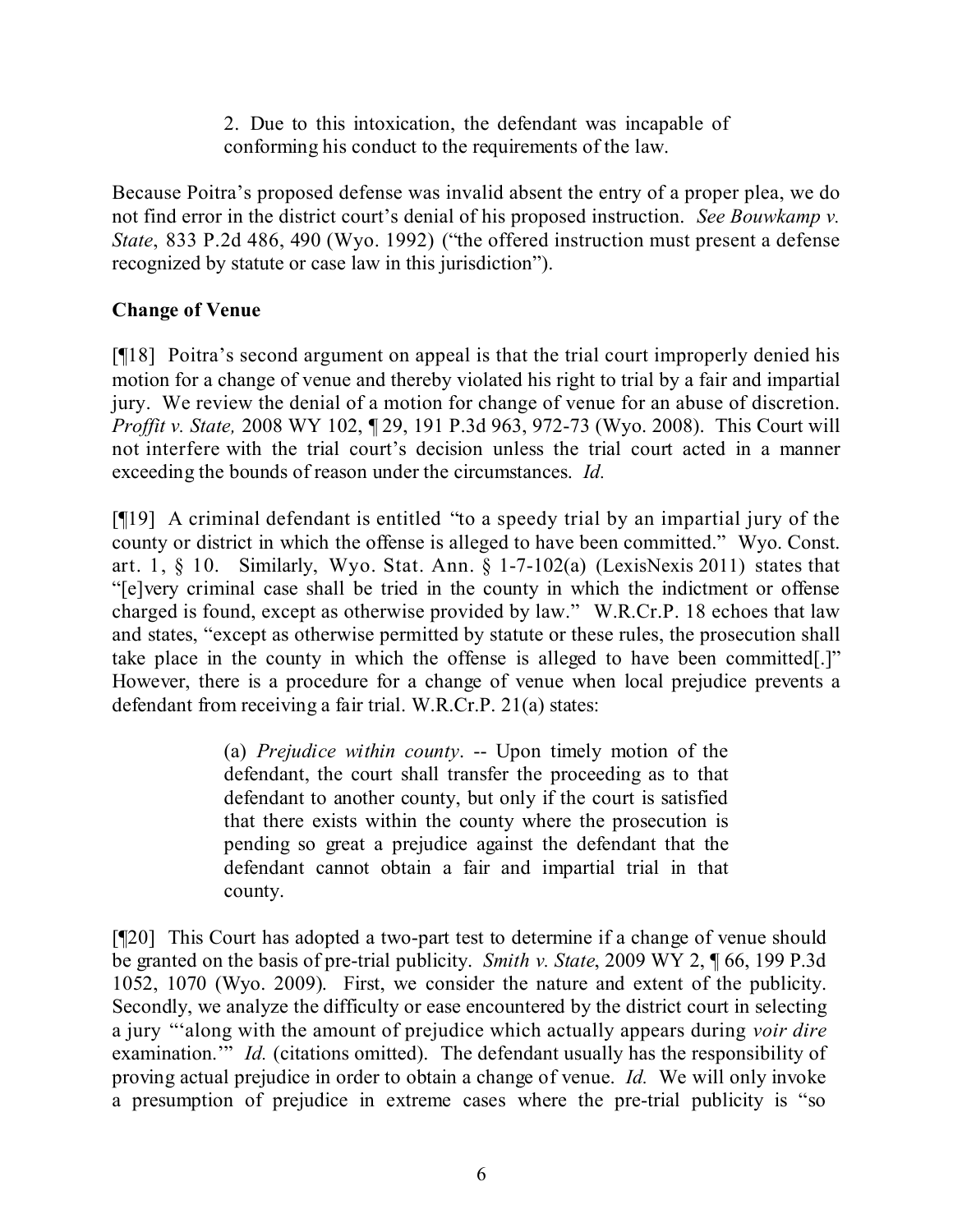2. Due to this intoxication, the defendant was incapable of conforming his conduct to the requirements of the law.

Because Poitra's proposed defense was invalid absent the entry of a proper plea, we do not find error in the district court's denial of his proposed instruction. *See Bouwkamp v. State*, 833 P.2d 486, 490 (Wyo. 1992) ("the offered instruction must present a defense recognized by statute or case law in this jurisdiction").

# **Change of Venue**

[¶18] Poitra's second argument on appeal is that the trial court improperly denied his motion for a change of venue and thereby violated his right to trial by a fair and impartial jury. We review the denial of a motion for change of venue for an abuse of discretion. *Proffit v. State,* 2008 WY 102, ¶ 29, 191 P.3d 963, 972-73 (Wyo. 2008). This Court will not interfere with the trial court's decision unless the trial court acted in a manner exceeding the bounds of reason under the circumstances. *Id.*

[¶19] A criminal defendant is entitled "to a speedy trial by an impartial jury of the county or district in which the offense is alleged to have been committed." Wyo. Const. art. 1,  $\S$  10. Similarly, Wyo. Stat. Ann.  $\S$  1-7-102(a) (LexisNexis 2011) states that "[e]very criminal case shall be tried in the county in which the indictment or offense charged is found, except as otherwise provided by law." W.R.Cr.P. 18 echoes that law and states, "except as otherwise permitted by statute or these rules, the prosecution shall take place in the county in which the offense is alleged to have been committed[.]" However, there is a procedure for a change of venue when local prejudice prevents a defendant from receiving a fair trial. W.R.Cr.P. 21(a) states:

> (a) *Prejudice within county*. -- Upon timely motion of the defendant, the court shall transfer the proceeding as to that defendant to another county, but only if the court is satisfied that there exists within the county where the prosecution is pending so great a prejudice against the defendant that the defendant cannot obtain a fair and impartial trial in that county.

[¶20] This Court has adopted a two-part test to determine if a change of venue should be granted on the basis of pre-trial publicity. *Smith v. State*, 2009 WY 2, ¶ 66, 199 P.3d 1052, 1070 (Wyo. 2009). First, we consider the nature and extent of the publicity. Secondly, we analyze the difficulty or ease encountered by the district court in selecting a jury "'along with the amount of prejudice which actually appears during *voir dire* examination." *Id.* (citations omitted). The defendant usually has the responsibility of proving actual prejudice in order to obtain a change of venue. *Id.* We will only invoke a presumption of prejudice in extreme cases where the pre-trial publicity is "so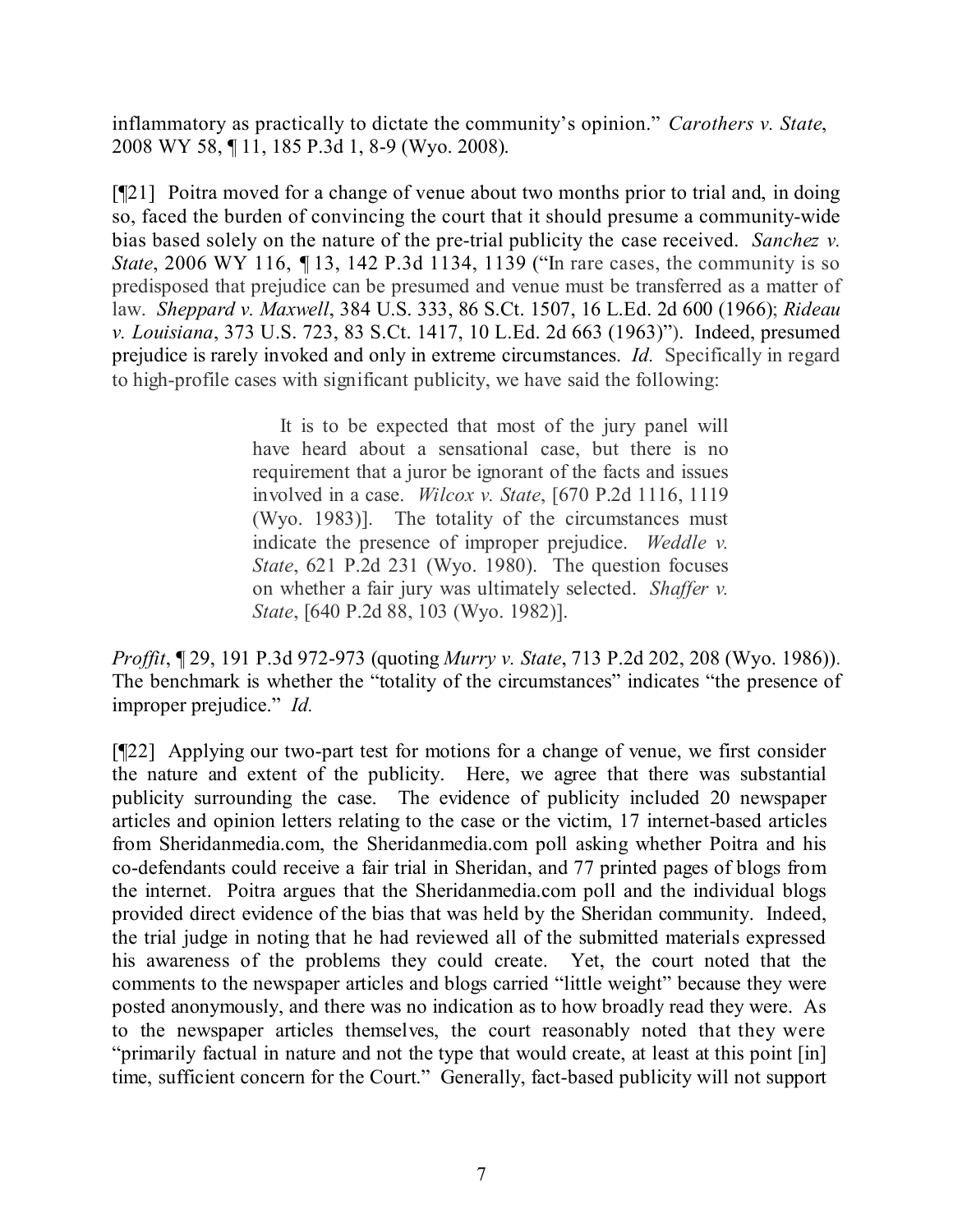inflammatory as practically to dictate the community's opinion." *Carothers v. State*, 2008 WY 58, ¶ 11, 185 P.3d 1, 8-9 (Wyo. 2008).

[¶21] Poitra moved for a change of venue about two months prior to trial and, in doing so, faced the burden of convincing the court that it should presume a community-wide bias based solely on the nature of the pre-trial publicity the case received. *Sanchez v. State*, 2006 WY 116, 113, 142 P.3d 1134, 1139 ("In rare cases, the community is so predisposed that prejudice can be presumed and venue must be transferred as a matter of law. *Sheppard v. Maxwell*, 384 U.S. 333, 86 S.Ct. 1507, 16 L.Ed. 2d 600 (1966); *Rideau v. Louisiana*, 373 U.S. 723, 83 S.Ct. 1417, 10 L.Ed. 2d 663 (1963)"). Indeed, presumed prejudice is rarely invoked and only in extreme circumstances. *Id.* Specifically in regard to high-profile cases with significant publicity, we have said the following:

> It is to be expected that most of the jury panel will have heard about a sensational case, but there is no requirement that a juror be ignorant of the facts and issues involved in a case. *Wilcox v. State*, [670 P.2d 1116, 1119 (Wyo. 1983)]. The totality of the circumstances must indicate the presence of improper prejudice. *Weddle v. State*, 621 P.2d 231 (Wyo. 1980). The question focuses on whether a fair jury was ultimately selected. *Shaffer v. State*, [640 P.2d 88, 103 (Wyo. 1982)].

*Proffit*, ¶ 29, 191 P.3d 972-973 (quoting *Murry v. State*, 713 P.2d 202, 208 (Wyo. 1986)). The benchmark is whether the "totality of the circumstances" indicates "the presence of improper prejudice." *Id.*

[¶22] Applying our two-part test for motions for a change of venue, we first consider the nature and extent of the publicity. Here, we agree that there was substantial publicity surrounding the case. The evidence of publicity included 20 newspaper articles and opinion letters relating to the case or the victim, 17 internet-based articles from Sheridanmedia.com, the Sheridanmedia.com poll asking whether Poitra and his co-defendants could receive a fair trial in Sheridan, and 77 printed pages of blogs from the internet. Poitra argues that the Sheridanmedia.com poll and the individual blogs provided direct evidence of the bias that was held by the Sheridan community. Indeed, the trial judge in noting that he had reviewed all of the submitted materials expressed his awareness of the problems they could create. Yet, the court noted that the comments to the newspaper articles and blogs carried "little weight" because they were posted anonymously, and there was no indication as to how broadly read they were. As to the newspaper articles themselves, the court reasonably noted that they were "primarily factual in nature and not the type that would create, at least at this point [in] time, sufficient concern for the Court." Generally, fact-based publicity will not support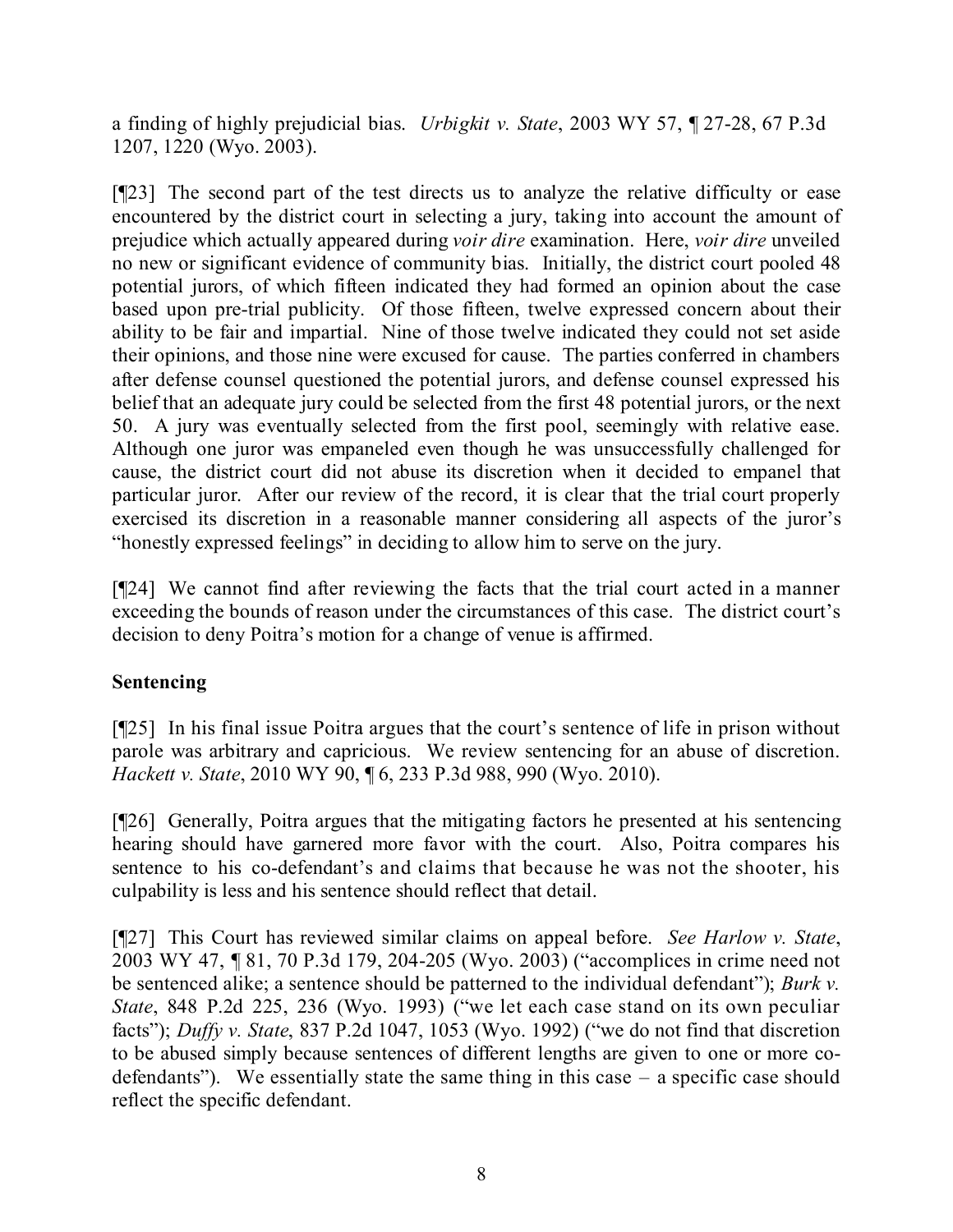a finding of highly prejudicial bias. *Urbigkit v. State*, 2003 WY 57, ¶ 27-28, 67 P.3d 1207, 1220 (Wyo. 2003).

[¶23] The second part of the test directs us to analyze the relative difficulty or ease encountered by the district court in selecting a jury, taking into account the amount of prejudice which actually appeared during *voir dire* examination. Here, *voir dire* unveiled no new or significant evidence of community bias. Initially, the district court pooled 48 potential jurors, of which fifteen indicated they had formed an opinion about the case based upon pre-trial publicity. Of those fifteen, twelve expressed concern about their ability to be fair and impartial. Nine of those twelve indicated they could not set aside their opinions, and those nine were excused for cause. The parties conferred in chambers after defense counsel questioned the potential jurors, and defense counsel expressed his belief that an adequate jury could be selected from the first 48 potential jurors, or the next 50. A jury was eventually selected from the first pool, seemingly with relative ease. Although one juror was empaneled even though he was unsuccessfully challenged for cause, the district court did not abuse its discretion when it decided to empanel that particular juror. After our review of the record, it is clear that the trial court properly exercised its discretion in a reasonable manner considering all aspects of the juror's "honestly expressed feelings" in deciding to allow him to serve on the jury.

[¶24] We cannot find after reviewing the facts that the trial court acted in a manner exceeding the bounds of reason under the circumstances of this case. The district court's decision to deny Poitra's motion for a change of venue is affirmed.

# **Sentencing**

[¶25] In his final issue Poitra argues that the court's sentence of life in prison without parole was arbitrary and capricious. We review sentencing for an abuse of discretion. *Hackett v. State*, 2010 WY 90, ¶ 6, 233 P.3d 988, 990 (Wyo. 2010).

[¶26] Generally, Poitra argues that the mitigating factors he presented at his sentencing hearing should have garnered more favor with the court. Also, Poitra compares his sentence to his co-defendant's and claims that because he was not the shooter, his culpability is less and his sentence should reflect that detail.

[¶27] This Court has reviewed similar claims on appeal before. *See Harlow v. State*, 2003 WY 47, ¶ 81, 70 P.3d 179, 204-205 (Wyo. 2003) ("accomplices in crime need not be sentenced alike; a sentence should be patterned to the individual defendant"); *Burk v. State*, 848 P.2d 225, 236 (Wyo. 1993) ("we let each case stand on its own peculiar facts"); *Duffy v. State*, 837 P.2d 1047, 1053 (Wyo. 1992) ("we do not find that discretion to be abused simply because sentences of different lengths are given to one or more codefendants"). We essentially state the same thing in this case – a specific case should reflect the specific defendant.